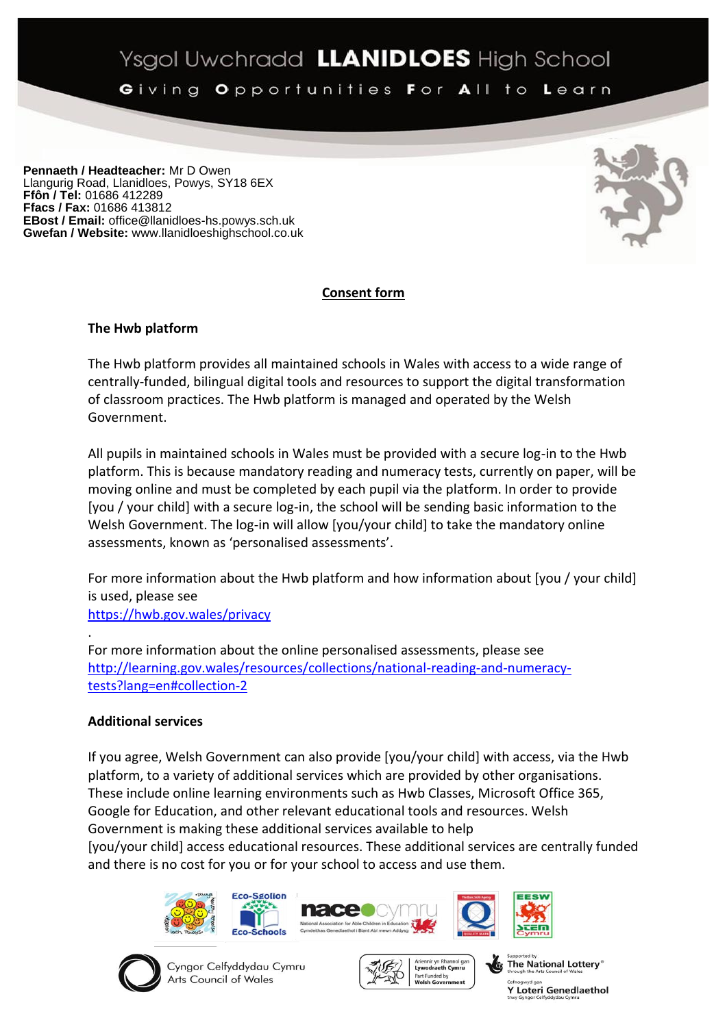# Ysgol Uwchradd LLANIDLOES High School

Giving Opportunities For All to Learn

**Pennaeth / Headteacher:** Mr D Owen Llangurig Road, Llanidloes, Powys, SY18 6EX **Ffôn / Tel:** 01686 412289 **Ffacs / Fax:** 01686 413812 **EBost / Email:** office@llanidloes-hs.powys.sch.uk **Gwefan / Website:** www.llanidloeshighschool.co.uk



## **Consent form**

#### **The Hwb platform**

The Hwb platform provides all maintained schools in Wales with access to a wide range of centrally-funded, bilingual digital tools and resources to support the digital transformation of classroom practices. The Hwb platform is managed and operated by the Welsh Government.

All pupils in maintained schools in Wales must be provided with a secure log-in to the Hwb platform. This is because mandatory reading and numeracy tests, currently on paper, will be moving online and must be completed by each pupil via the platform. In order to provide [you / your child] with a secure log-in, the school will be sending basic information to the Welsh Government. The log-in will allow [you/your child] to take the mandatory online assessments, known as 'personalised assessments'.

For more information about the Hwb platform and how information about [you / your child] is used, please see <https://hwb.gov.wales/privacy>

. For more information about the online personalised assessments, please see [http://learning.gov.wales/resources/collections/national-reading-and-numeracy](http://learning.gov.wales/resources/collections/national-reading-and-numeracy-tests?lang=en#collection-2)[tests?lang=en#collection-2](http://learning.gov.wales/resources/collections/national-reading-and-numeracy-tests?lang=en#collection-2)

## **Additional services**

If you agree, Welsh Government can also provide [you/your child] with access, via the Hwb platform, to a variety of additional services which are provided by other organisations. These include online learning environments such as Hwb Classes, Microsoft Office 365, Google for Education, and other relevant educational tools and resources. Welsh Government is making these additional services available to help [you/your child] access educational resources. These additional services are centrally funded and there is no cost for you or for your school to access and use them.





Cyngor Celfyddydau Cymru Arts Council of Wales





VGG

The National Lottery®

**Y Loteri Genedlaethol**